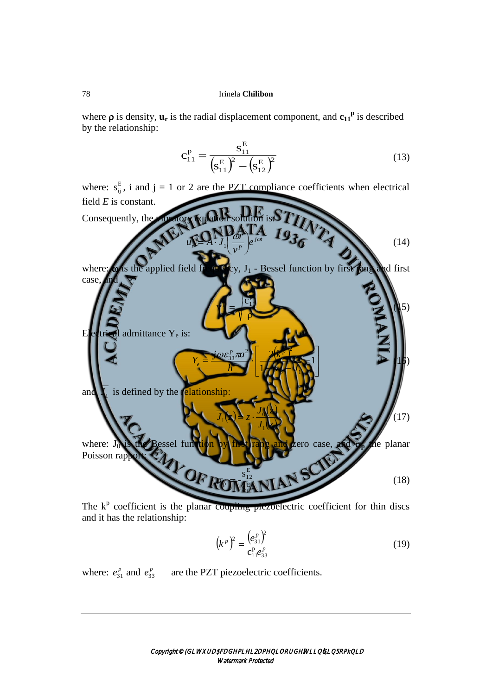where  $\rho$  is density,  $\mathbf{u}_r$  is the radial displacement component, and  $\mathbf{c}_{11}^{\rho}$  is described by the relationship:

$$
c_{11}^{P} = \frac{s_{11}^{E}}{(s_{11}^{E})^{2} - (s_{12}^{E})^{2}}
$$
(13)

where:  $s_{ij}^E$ , i and j = 1 or 2 are the PZT compliance coefficients when electrical field *E* is constant. Consequently, the vibratory equation solution is: $\sum$ *j t*  $r^{p-1}$   $q$   $|_{p}$ *e v r*  $u_n = A \cdot J$  $\omega r$   $_{\scriptscriptstyle -i\omega}$ I J  $\mathcal{L}$ I  $\setminus$ ŕ  $\blacktriangleright$   $A$  : 1 (14) where:  $\omega$  is the applied field from  $\mathbb{E}[\exp J_1 - \mathbb{E}[\exp J_2]]$  function by first  $\tan \theta$  first case  $\rho$ ŧ p  $\vert \hspace{-0.04cm} \vert \hspace{-0.04cm} \vert \hspace{-0.04cm} \vert \hspace{-0.04cm} \vert \hspace{-0.04cm} \vert \hspace{-0.04cm} \vert \hspace{-0.04cm} \vert \hspace{-0.04cm} \vert \hspace{-0.04cm} \vert \hspace{-0.04cm} \vert \hspace{-0.04cm} \vert \hspace{-0.04cm} \vert \hspace{-0.04cm} \vert \hspace{-0.04cm} \vert \hspace{-0.04cm} \vert \hspace{-0.04cm} \vert \hspace{-0.04cm} \vert \hspace{-0.04cm} \vert \hs$ v  $\blacksquare$ Electrical admittance Y<sub>e</sub> is:  $K^p$  J. L L L L ī. **HELL**  $\frac{1}{2}$   $\frac{1}{2}$   $\frac{1}{2}$   $\frac{1}{2}$   $\frac{1}{2}$   $\frac{1}{2}$   $\frac{1}{2}$   $\frac{1}{2}$   $\frac{1}{2}$   $\frac{1}{2}$ 1 2 1 2  $2\sqrt{p^2}$  $\frac{p}{33}$ *J k h*  $j$   $\omega \varepsilon_{33}^{\,p}$ rta *Y p*  $p_{\text{max}}^2$   $\sqrt{p}$ *e* σ  $\rightarrow$  (15) and **1** *J* is defined by the relationship:  $\mathbf{N}$  $\mathbf{A}$  $J_1$ *<i><i>z*  $J_1$   $\rightarrow$   $z$ 1  $\mathbf{0}$  $I_1(x) = z \cdot \frac{0.048}{7} \sqrt{17}$ where: Jo is the Bessel function by first rang and zero case, and  $\sigma_p$  the planar Poisson rap E 11 E 12 **Po** s s  $\Phi$  (18)

The  $k<sup>p</sup>$  coefficient is the planar coupling piezoelectric coefficient for thin discs and it has the relationship:

$$
\left(k^p\right)^2 = \frac{\left(e_{31}^p\right)^2}{c_{11}^p e_{33}^p} \tag{19}
$$

where:  $e_{31}^p$  and  $e_{33}^p$  are the PZT piezoelectric coefficients.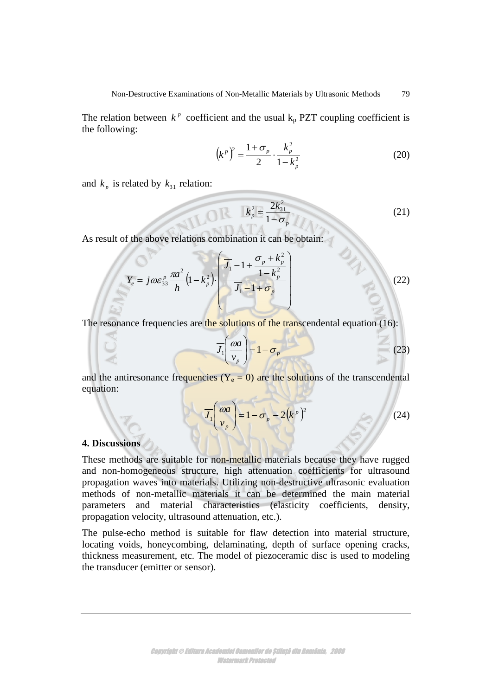The relation between  $k^p$  coefficient and the usual  $k_p$  PZT coupling coefficient is the following:

$$
(kp)2 = \frac{1 + \sigma_p}{2} \cdot \frac{k_p^2}{1 - k_p^2}
$$
 (20)

and  $k_p$  is related by  $k_{31}$  relation:

$$
k_p^2 = \frac{2k_{31}^2}{1 - \sigma_p}
$$
 (21)

As result of the above relations combination it can be obtain:

$$
Y_e = j\omega\varepsilon_{33}^p \frac{\pi a^2}{h} \left(1 - k_p^2\right) \left(\frac{\overline{J}_1 - 1 + \frac{\sigma_p + k_p^2}{1 - k_p^2}}{\overline{J}_1 - 1 + \sigma_p}\right) \tag{22}
$$

The resonance frequencies are the solutions of the transcendental equation (16):

$$
\overline{J_1}\left(\frac{\omega a}{v_p}\right) = 1 - \sigma_p \tag{23}
$$

and the antiresonance frequencies  $(Y_e = 0)$  are the solutions of the transcendental equation:

$$
\overline{J_1}\left(\frac{\omega a}{v_p}\right) = 1 - \sigma_p - 2(k^p)^2
$$
\n(24)

## **4. Discussions**

These methods are suitable for non-metallic materials because they have rugged and non-homogeneous structure, high attenuation coefficients for ultrasound propagation waves into materials. Utilizing non-destructive ultrasonic evaluation methods of non-metallic materials it can be determined the main material parameters and material characteristics (elasticity coefficients, density, propagation velocity, ultrasound attenuation, etc.).

The pulse-echo method is suitable for flaw detection into material structure, locating voids, honeycombing, delaminating, depth of surface opening cracks, thickness measurement, etc. The model of piezoceramic disc is used to modeling the transducer (emitter or sensor).